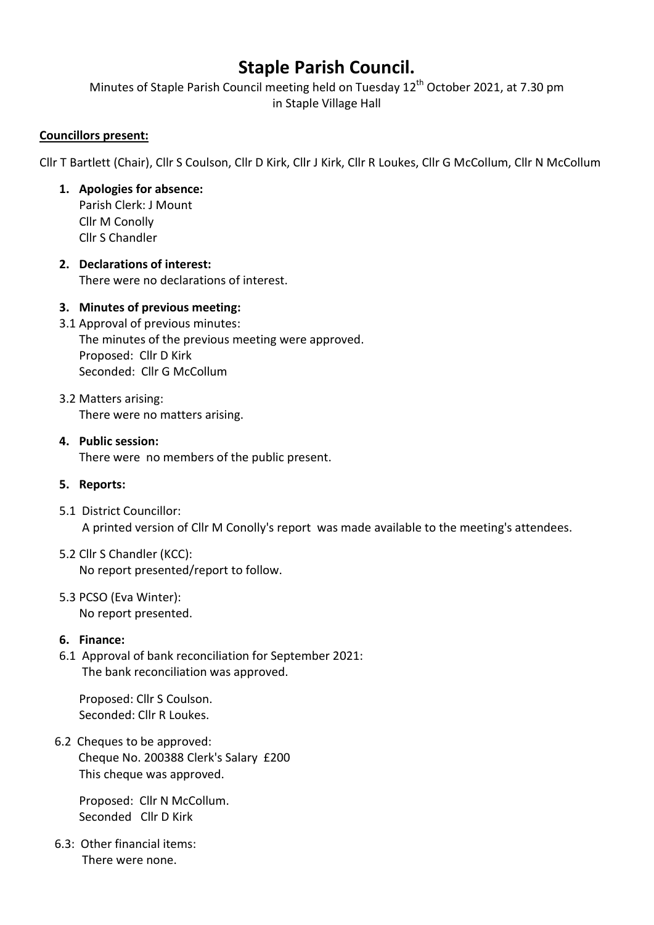# Staple Parish Council.

Minutes of Staple Parish Council meeting held on Tuesday 12<sup>th</sup> October 2021, at 7.30 pm in Staple Village Hall

## Councillors present:

Cllr T Bartlett (Chair), Cllr S Coulson, Cllr D Kirk, Cllr J Kirk, Cllr R Loukes, Cllr G McCollum, Cllr N McCollum

## 1. Apologies for absence:

Parish Clerk: J Mount Cllr M Conolly Cllr S Chandler

# 2. Declarations of interest:

There were no declarations of interest.

# 3. Minutes of previous meeting:

- 3.1 Approval of previous minutes: The minutes of the previous meeting were approved. Proposed: Cllr D Kirk Seconded: Cllr G McCollum
- 3.2 Matters arising: There were no matters arising.
- 4. Public session:

There were no members of the public present.

- 5. Reports:
- 5.1 District Councillor: A printed version of Cllr M Conolly's report was made available to the meeting's attendees.
- 5.2 Cllr S Chandler (KCC): No report presented/report to follow.
- 5.3 PCSO (Eva Winter): No report presented.

## 6. Finance:

6.1 Approval of bank reconciliation for September 2021: The bank reconciliation was approved.

Proposed: Cllr S Coulson. Seconded: Cllr R Loukes.

 6.2 Cheques to be approved: Cheque No. 200388 Clerk's Salary £200 This cheque was approved.

Proposed: Cllr N McCollum. Seconded Cllr D Kirk

 6.3: Other financial items: There were none.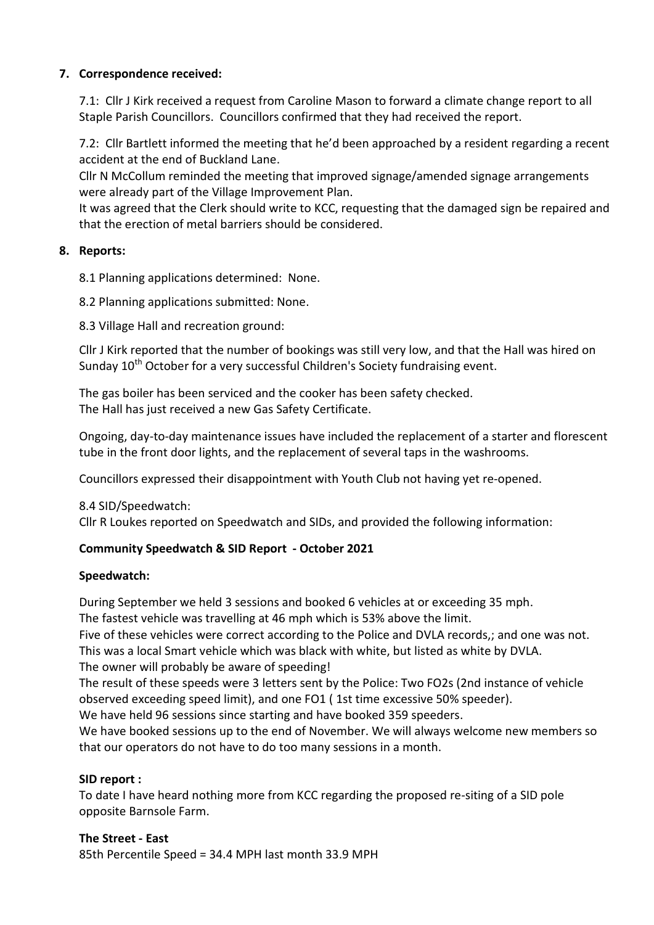# 7. Correspondence received:

7.1: Cllr J Kirk received a request from Caroline Mason to forward a climate change report to all Staple Parish Councillors. Councillors confirmed that they had received the report.

7.2: Cllr Bartlett informed the meeting that he'd been approached by a resident regarding a recent accident at the end of Buckland Lane.

Cllr N McCollum reminded the meeting that improved signage/amended signage arrangements were already part of the Village Improvement Plan.

It was agreed that the Clerk should write to KCC, requesting that the damaged sign be repaired and that the erection of metal barriers should be considered.

# 8. Reports:

8.1 Planning applications determined: None.

8.2 Planning applications submitted: None.

8.3 Village Hall and recreation ground:

 Cllr J Kirk reported that the number of bookings was still very low, and that the Hall was hired on Sunday 10<sup>th</sup> October for a very successful Children's Society fundraising event.

The gas boiler has been serviced and the cooker has been safety checked. The Hall has just received a new Gas Safety Certificate.

Ongoing, day-to-day maintenance issues have included the replacement of a starter and florescent tube in the front door lights, and the replacement of several taps in the washrooms.

Councillors expressed their disappointment with Youth Club not having yet re-opened.

8.4 SID/Speedwatch:

Cllr R Loukes reported on Speedwatch and SIDs, and provided the following information:

# Community Speedwatch & SID Report - October 2021

# Speedwatch:

During September we held 3 sessions and booked 6 vehicles at or exceeding 35 mph.

The fastest vehicle was travelling at 46 mph which is 53% above the limit.

Five of these vehicles were correct according to the Police and DVLA records,; and one was not. This was a local Smart vehicle which was black with white, but listed as white by DVLA.

The owner will probably be aware of speeding!

The result of these speeds were 3 letters sent by the Police: Two FO2s (2nd instance of vehicle observed exceeding speed limit), and one FO1 ( 1st time excessive 50% speeder).

We have held 96 sessions since starting and have booked 359 speeders.

We have booked sessions up to the end of November. We will always welcome new members so that our operators do not have to do too many sessions in a month.

# SID report :

To date I have heard nothing more from KCC regarding the proposed re-siting of a SID pole opposite Barnsole Farm.

The Street - East 85th Percentile Speed = 34.4 MPH last month 33.9 MPH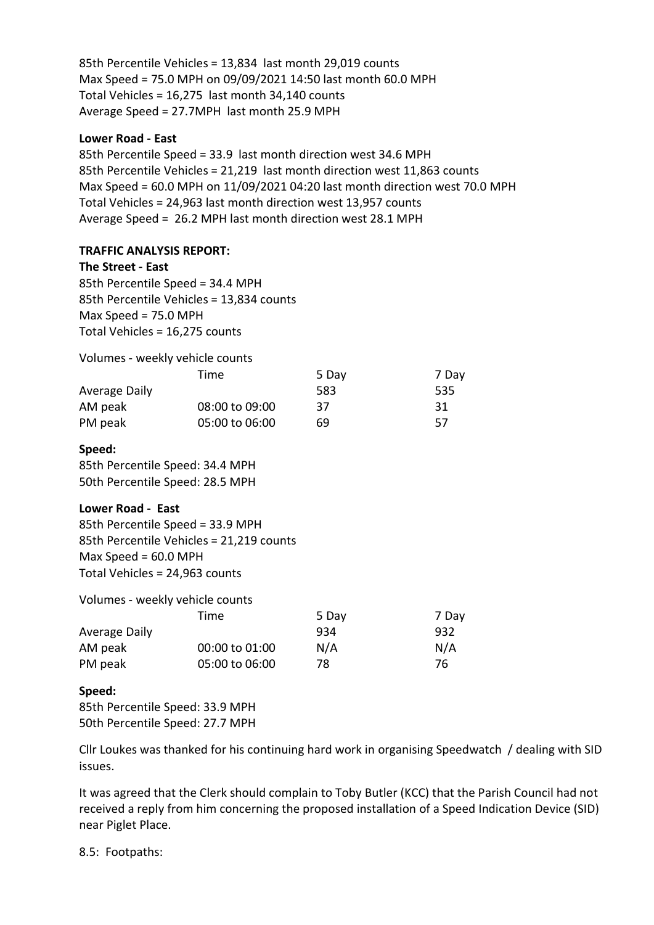85th Percentile Vehicles = 13,834 last month 29,019 counts Max Speed = 75.0 MPH on 09/09/2021 14:50 last month 60.0 MPH Total Vehicles = 16,275 last month 34,140 counts Average Speed = 27.7MPH last month 25.9 MPH

#### Lower Road - East

85th Percentile Speed = 33.9 last month direction west 34.6 MPH 85th Percentile Vehicles = 21,219 last month direction west 11,863 counts Max Speed = 60.0 MPH on 11/09/2021 04:20 last month direction west 70.0 MPH Total Vehicles = 24,963 last month direction west 13,957 counts Average Speed = 26.2 MPH last month direction west 28.1 MPH

## TRAFFIC ANALYSIS REPORT:

#### The Street - East

85th Percentile Speed = 34.4 MPH 85th Percentile Vehicles = 13,834 counts Max Speed = 75.0 MPH Total Vehicles = 16,275 counts

Volumes - weekly vehicle counts

|               | Time           | 5 Day | 7 Day |
|---------------|----------------|-------|-------|
| Average Daily |                | 583   | 535   |
| AM peak       | 08:00 to 09:00 | 37    | 31    |
| PM peak       | 05:00 to 06:00 | 69    | 57    |

#### Speed:

85th Percentile Speed: 34.4 MPH 50th Percentile Speed: 28.5 MPH

## Lower Road - East

85th Percentile Speed = 33.9 MPH 85th Percentile Vehicles = 21,219 counts Max Speed = 60.0 MPH Total Vehicles = 24,963 counts

|               | Volumes - weekly vehicle counts |       |       |
|---------------|---------------------------------|-------|-------|
|               | Time                            | 5 Day | 7 Day |
| Average Daily |                                 | 934   | 932   |
| AM peak       | 00:00 to 01:00                  | N/A   | N/A   |
| PM peak       | 05:00 to 06:00                  | 78    | 76    |

## Speed:

85th Percentile Speed: 33.9 MPH 50th Percentile Speed: 27.7 MPH

Cllr Loukes was thanked for his continuing hard work in organising Speedwatch / dealing with SID issues.

 It was agreed that the Clerk should complain to Toby Butler (KCC) that the Parish Council had not received a reply from him concerning the proposed installation of a Speed Indication Device (SID) near Piglet Place.

8.5: Footpaths: